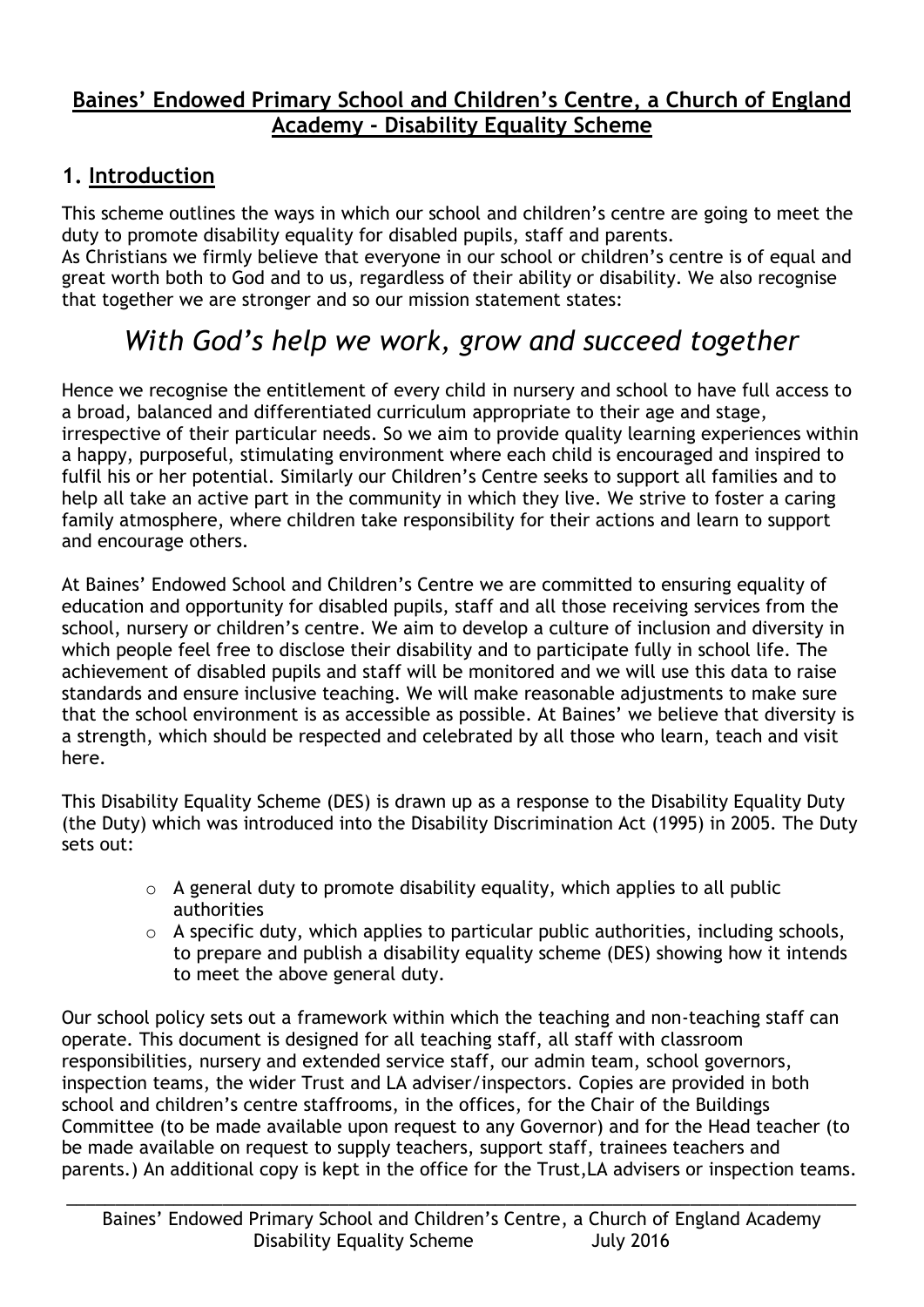### **Baines' Endowed Primary School and Children's Centre, a Church of England Academy - Disability Equality Scheme**

### **1. Introduction**

This scheme outlines the ways in which our school and children's centre are going to meet the duty to promote disability equality for disabled pupils, staff and parents.

As Christians we firmly believe that everyone in our school or children's centre is of equal and great worth both to God and to us, regardless of their ability or disability. We also recognise that together we are stronger and so our mission statement states:

# *With God's help we work, grow and succeed together*

Hence we recognise the entitlement of every child in nursery and school to have full access to a broad, balanced and differentiated curriculum appropriate to their age and stage, irrespective of their particular needs. So we aim to provide quality learning experiences within a happy, purposeful, stimulating environment where each child is encouraged and inspired to fulfil his or her potential. Similarly our Children's Centre seeks to support all families and to help all take an active part in the community in which they live. We strive to foster a caring family atmosphere, where children take responsibility for their actions and learn to support and encourage others.

At Baines' Endowed School and Children's Centre we are committed to ensuring equality of education and opportunity for disabled pupils, staff and all those receiving services from the school, nursery or children's centre. We aim to develop a culture of inclusion and diversity in which people feel free to disclose their disability and to participate fully in school life. The achievement of disabled pupils and staff will be monitored and we will use this data to raise standards and ensure inclusive teaching. We will make reasonable adjustments to make sure that the school environment is as accessible as possible. At Baines' we believe that diversity is a strength, which should be respected and celebrated by all those who learn, teach and visit here.

This Disability Equality Scheme (DES) is drawn up as a response to the Disability Equality Duty (the Duty) which was introduced into the Disability Discrimination Act (1995) in 2005. The Duty sets out:

- o A general duty to promote disability equality, which applies to all public authorities
- $\circ$  A specific duty, which applies to particular public authorities, including schools, to prepare and publish a disability equality scheme (DES) showing how it intends to meet the above general duty.

Our school policy sets out a framework within which the teaching and non-teaching staff can operate. This document is designed for all teaching staff, all staff with classroom responsibilities, nursery and extended service staff, our admin team, school governors, inspection teams, the wider Trust and LA adviser/inspectors. Copies are provided in both school and children's centre staffrooms, in the offices, for the Chair of the Buildings Committee (to be made available upon request to any Governor) and for the Head teacher (to be made available on request to supply teachers, support staff, trainees teachers and parents.) An additional copy is kept in the office for the Trust,LA advisers or inspection teams.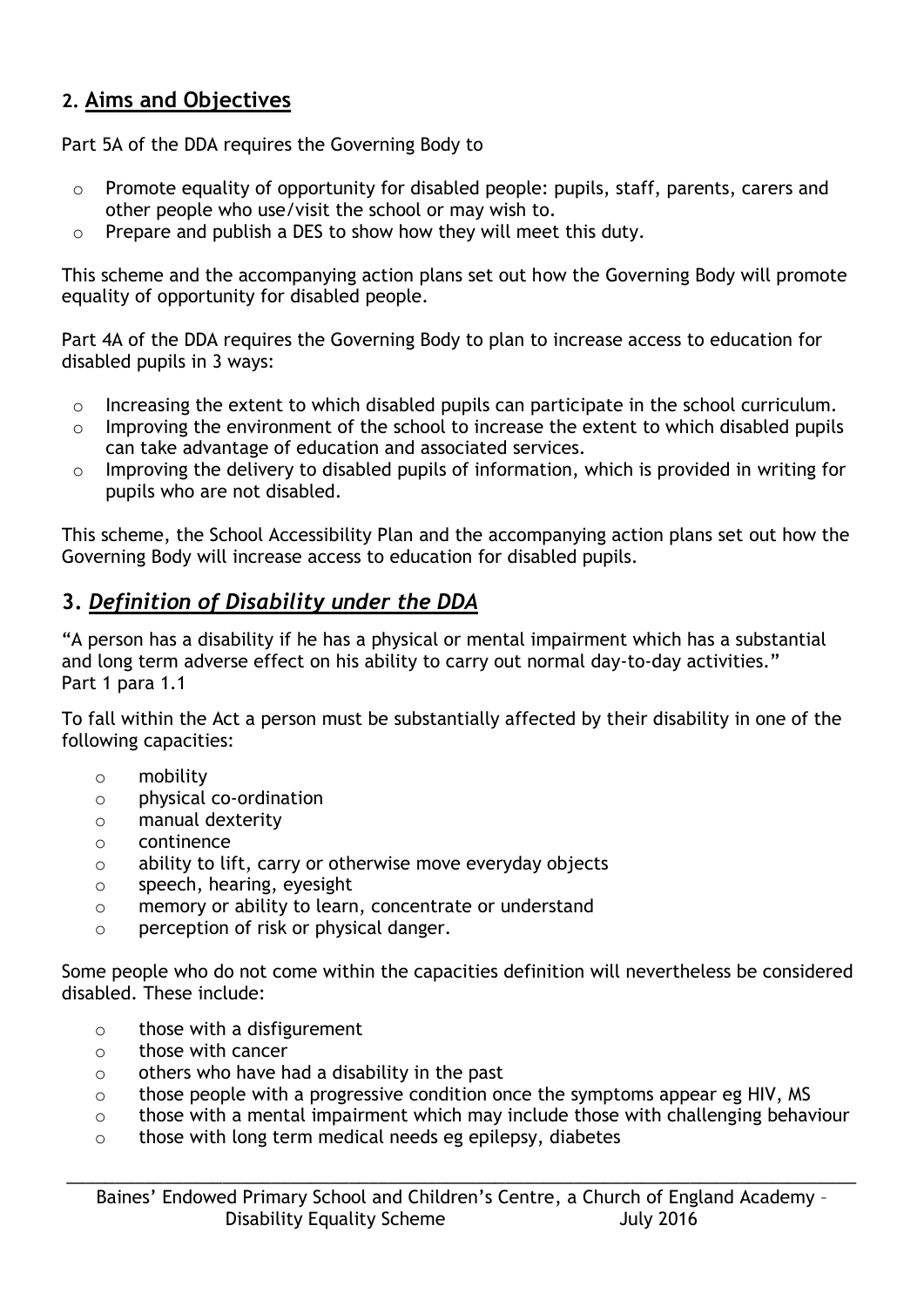### **2. Aims and Objectives**

Part 5A of the DDA requires the Governing Body to

- o Promote equality of opportunity for disabled people: pupils, staff, parents, carers and other people who use/visit the school or may wish to.
- o Prepare and publish a DES to show how they will meet this duty.

This scheme and the accompanying action plans set out how the Governing Body will promote equality of opportunity for disabled people.

Part 4A of the DDA requires the Governing Body to plan to increase access to education for disabled pupils in 3 ways:

- o Increasing the extent to which disabled pupils can participate in the school curriculum.
- o Improving the environment of the school to increase the extent to which disabled pupils can take advantage of education and associated services.
- o Improving the delivery to disabled pupils of information, which is provided in writing for pupils who are not disabled.

This scheme, the School Accessibility Plan and the accompanying action plans set out how the Governing Body will increase access to education for disabled pupils.

# **3.** *Definition of Disability under the DDA*

"A person has a disability if he has a physical or mental impairment which has a substantial and long term adverse effect on his ability to carry out normal day-to-day activities." Part 1 para 1.1

To fall within the Act a person must be substantially affected by their disability in one of the following capacities:

- o mobility
- o physical co-ordination
- o manual dexterity
- o continence
- o ability to lift, carry or otherwise move everyday objects
- o speech, hearing, eyesight
- o memory or ability to learn, concentrate or understand
- o perception of risk or physical danger.

Some people who do not come within the capacities definition will nevertheless be considered disabled. These include:

- o those with a disfigurement
- o those with cancer
- $\circ$  others who have had a disability in the past
- o those people with a progressive condition once the symptoms appear eg HIV, MS
- o those with a mental impairment which may include those with challenging behaviour
- o those with long term medical needs eg epilepsy, diabetes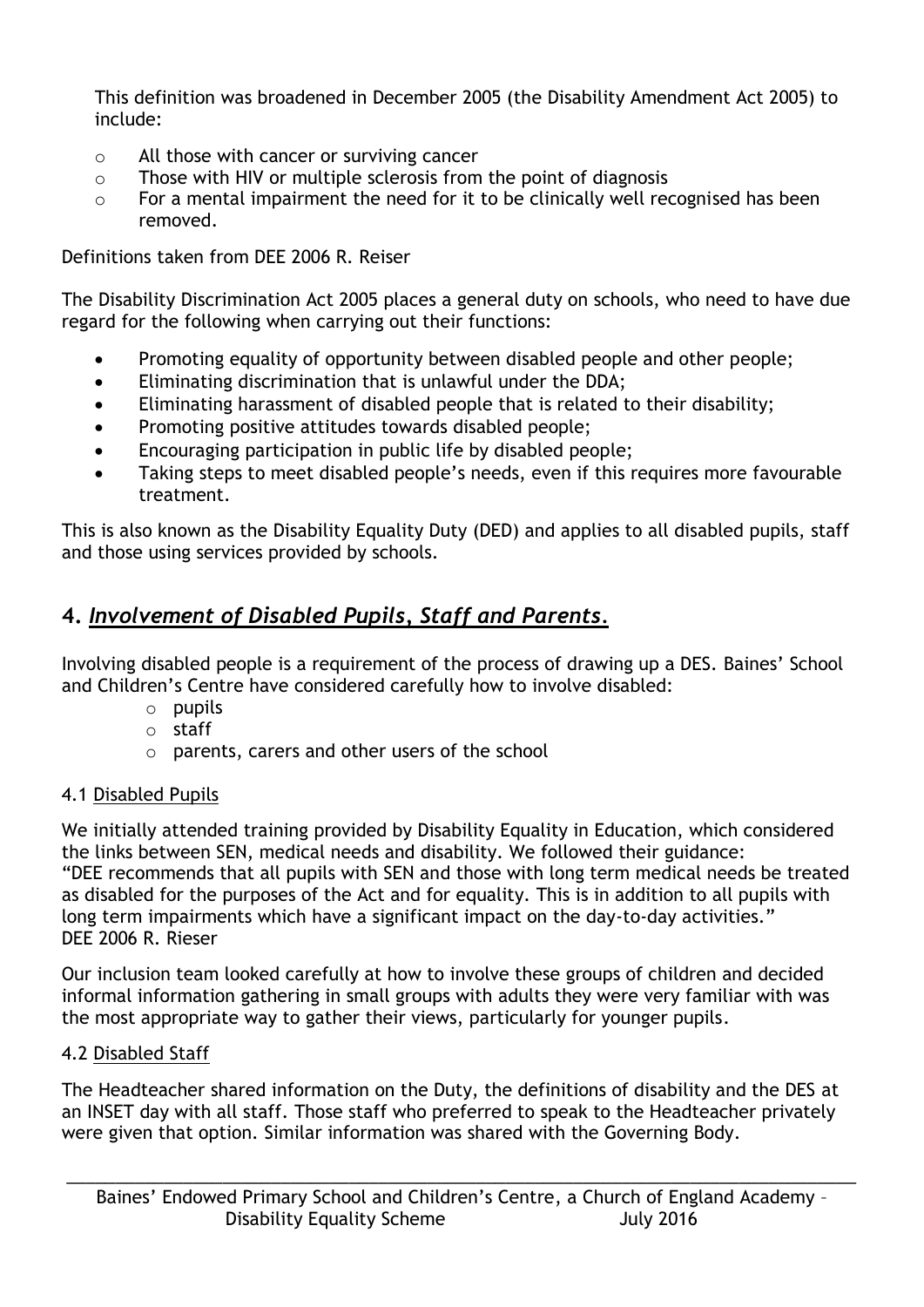This definition was broadened in December 2005 (the Disability Amendment Act 2005) to include:

- o All those with cancer or surviving cancer
- o Those with HIV or multiple sclerosis from the point of diagnosis
- o For a mental impairment the need for it to be clinically well recognised has been removed.

Definitions taken from DEE 2006 R. Reiser

The Disability Discrimination Act 2005 places a general duty on schools, who need to have due regard for the following when carrying out their functions:

- Promoting equality of opportunity between disabled people and other people;
- Eliminating discrimination that is unlawful under the DDA;
- Eliminating harassment of disabled people that is related to their disability;
- Promoting positive attitudes towards disabled people;
- Encouraging participation in public life by disabled people;
- Taking steps to meet disabled people's needs, even if this requires more favourable treatment.

This is also known as the Disability Equality Duty (DED) and applies to all disabled pupils, staff and those using services provided by schools.

# **4.** *Involvement of Disabled Pupils, Staff and Parents.*

Involving disabled people is a requirement of the process of drawing up a DES. Baines' School and Children's Centre have considered carefully how to involve disabled:

- o pupils
- o staff
- o parents, carers and other users of the school

#### 4.1 Disabled Pupils

We initially attended training provided by Disability Equality in Education, which considered the links between SEN, medical needs and disability. We followed their guidance: "DEE recommends that all pupils with SEN and those with long term medical needs be treated as disabled for the purposes of the Act and for equality. This is in addition to all pupils with long term impairments which have a significant impact on the day-to-day activities." DEE 2006 R. Rieser

Our inclusion team looked carefully at how to involve these groups of children and decided informal information gathering in small groups with adults they were very familiar with was the most appropriate way to gather their views, particularly for younger pupils.

#### 4.2 Disabled Staff

The Headteacher shared information on the Duty, the definitions of disability and the DES at an INSET day with all staff. Those staff who preferred to speak to the Headteacher privately were given that option. Similar information was shared with the Governing Body.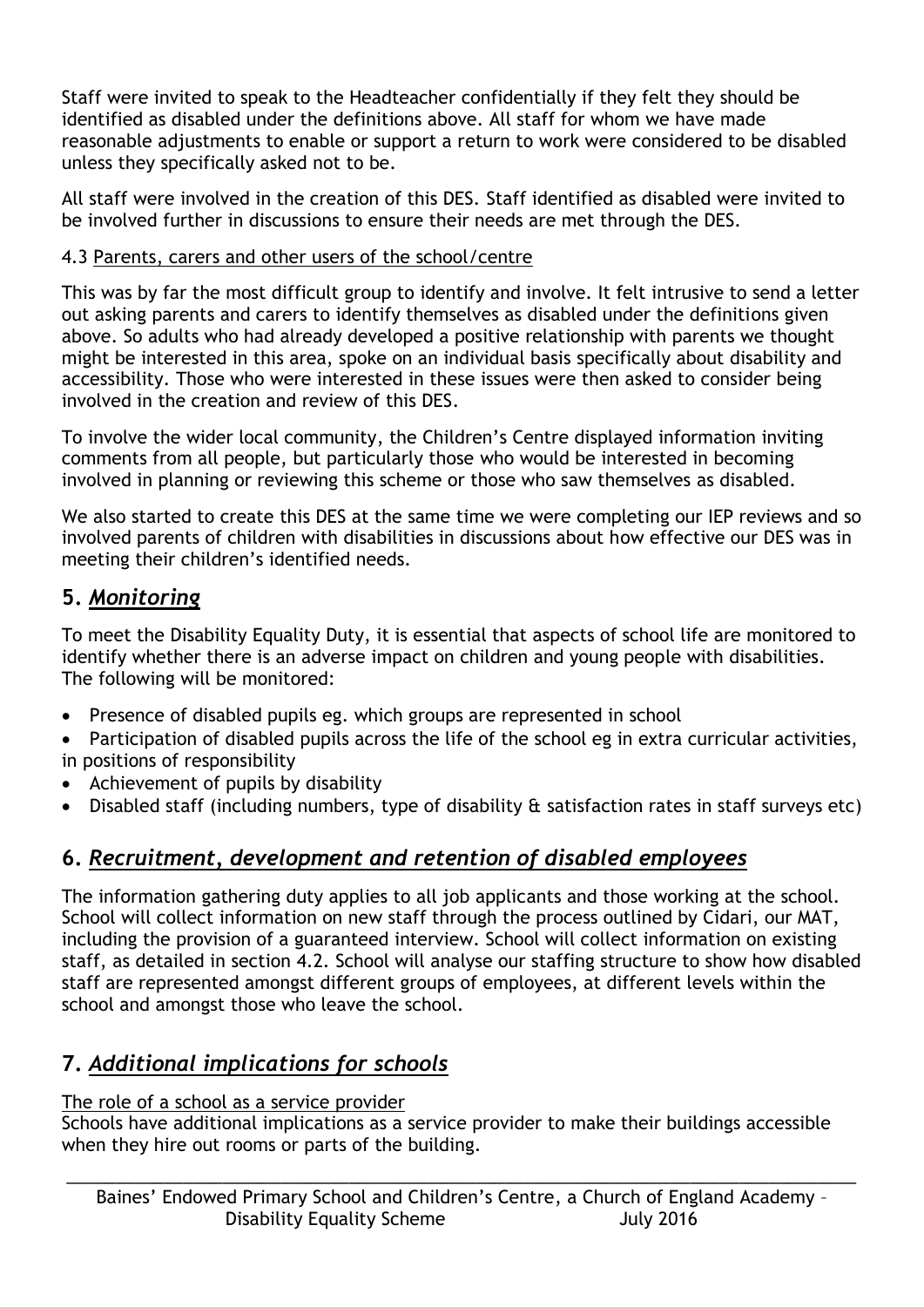Staff were invited to speak to the Headteacher confidentially if they felt they should be identified as disabled under the definitions above. All staff for whom we have made reasonable adjustments to enable or support a return to work were considered to be disabled unless they specifically asked not to be.

All staff were involved in the creation of this DES. Staff identified as disabled were invited to be involved further in discussions to ensure their needs are met through the DES.

### 4.3 Parents, carers and other users of the school/centre

This was by far the most difficult group to identify and involve. It felt intrusive to send a letter out asking parents and carers to identify themselves as disabled under the definitions given above. So adults who had already developed a positive relationship with parents we thought might be interested in this area, spoke on an individual basis specifically about disability and accessibility. Those who were interested in these issues were then asked to consider being involved in the creation and review of this DES.

To involve the wider local community, the Children's Centre displayed information inviting comments from all people, but particularly those who would be interested in becoming involved in planning or reviewing this scheme or those who saw themselves as disabled.

We also started to create this DES at the same time we were completing our IEP reviews and so involved parents of children with disabilities in discussions about how effective our DES was in meeting their children's identified needs.

# **5.** *Monitoring*

To meet the Disability Equality Duty, it is essential that aspects of school life are monitored to identify whether there is an adverse impact on children and young people with disabilities. The following will be monitored:

- Presence of disabled pupils eg. which groups are represented in school
- Participation of disabled pupils across the life of the school eg in extra curricular activities, in positions of responsibility
- Achievement of pupils by disability
- Disabled staff (including numbers, type of disability & satisfaction rates in staff surveys etc)

# **6.** *Recruitment, development and retention of disabled employees*

The information gathering duty applies to all job applicants and those working at the school. School will collect information on new staff through the process outlined by Cidari, our MAT, including the provision of a guaranteed interview. School will collect information on existing staff, as detailed in section 4.2. School will analyse our staffing structure to show how disabled staff are represented amongst different groups of employees, at different levels within the school and amongst those who leave the school.

# **7.** *Additional implications for schools*

### The role of a school as a service provider

Schools have additional implications as a service provider to make their buildings accessible when they hire out rooms or parts of the building.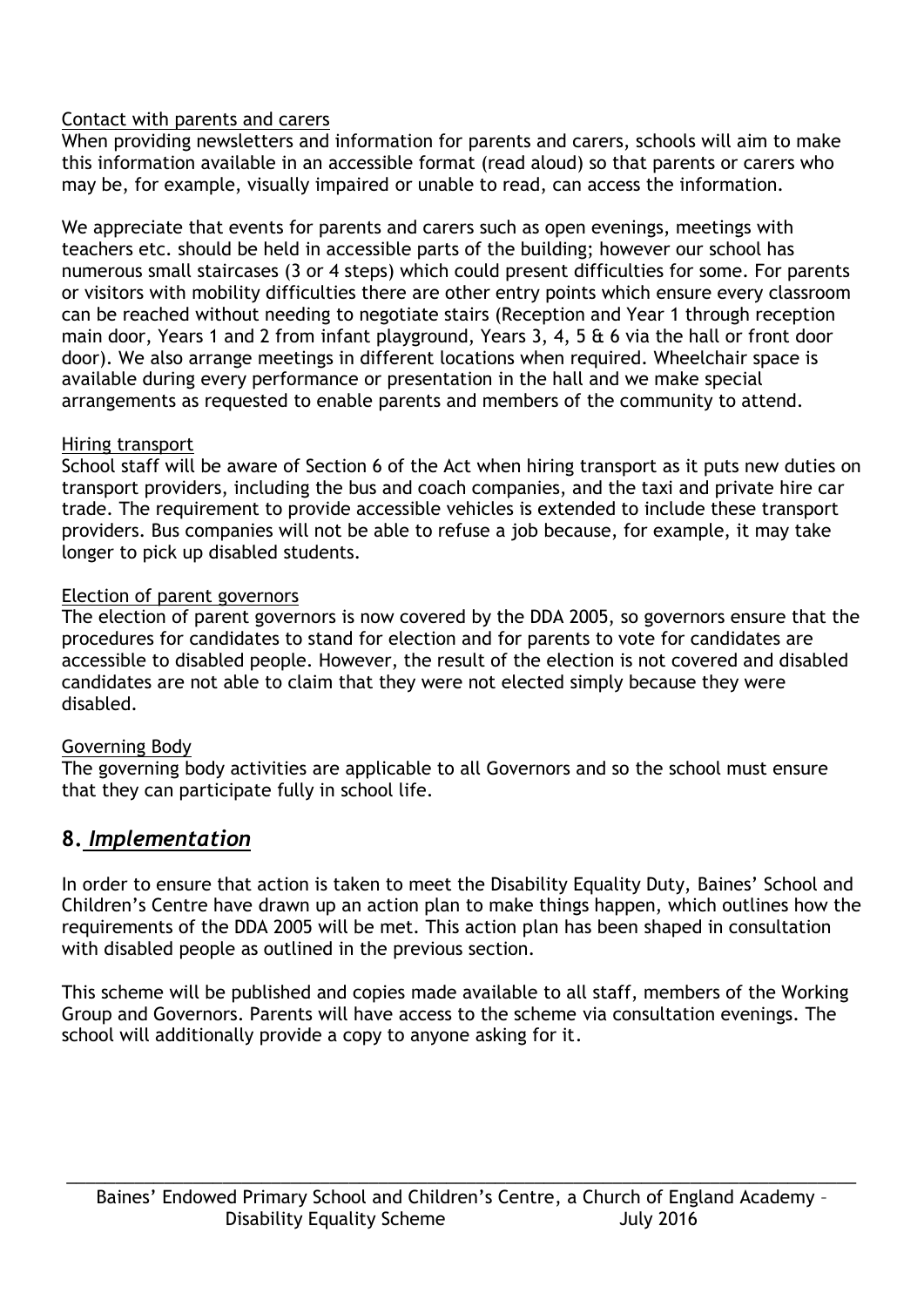#### Contact with parents and carers

When providing newsletters and information for parents and carers, schools will aim to make this information available in an accessible format (read aloud) so that parents or carers who may be, for example, visually impaired or unable to read, can access the information.

We appreciate that events for parents and carers such as open evenings, meetings with teachers etc. should be held in accessible parts of the building; however our school has numerous small staircases (3 or 4 steps) which could present difficulties for some. For parents or visitors with mobility difficulties there are other entry points which ensure every classroom can be reached without needing to negotiate stairs (Reception and Year 1 through reception main door, Years 1 and 2 from infant playground, Years 3, 4, 5 & 6 via the hall or front door door). We also arrange meetings in different locations when required. Wheelchair space is available during every performance or presentation in the hall and we make special arrangements as requested to enable parents and members of the community to attend.

#### Hiring transport

School staff will be aware of Section 6 of the Act when hiring transport as it puts new duties on transport providers, including the bus and coach companies, and the taxi and private hire car trade. The requirement to provide accessible vehicles is extended to include these transport providers. Bus companies will not be able to refuse a job because, for example, it may take longer to pick up disabled students.

#### Election of parent governors

The election of parent governors is now covered by the DDA 2005, so governors ensure that the procedures for candidates to stand for election and for parents to vote for candidates are accessible to disabled people. However, the result of the election is not covered and disabled candidates are not able to claim that they were not elected simply because they were disabled.

#### Governing Body

The governing body activities are applicable to all Governors and so the school must ensure that they can participate fully in school life.

### **8.** *Implementation*

In order to ensure that action is taken to meet the Disability Equality Duty, Baines' School and Children's Centre have drawn up an action plan to make things happen, which outlines how the requirements of the DDA 2005 will be met. This action plan has been shaped in consultation with disabled people as outlined in the previous section.

This scheme will be published and copies made available to all staff, members of the Working Group and Governors. Parents will have access to the scheme via consultation evenings. The school will additionally provide a copy to anyone asking for it.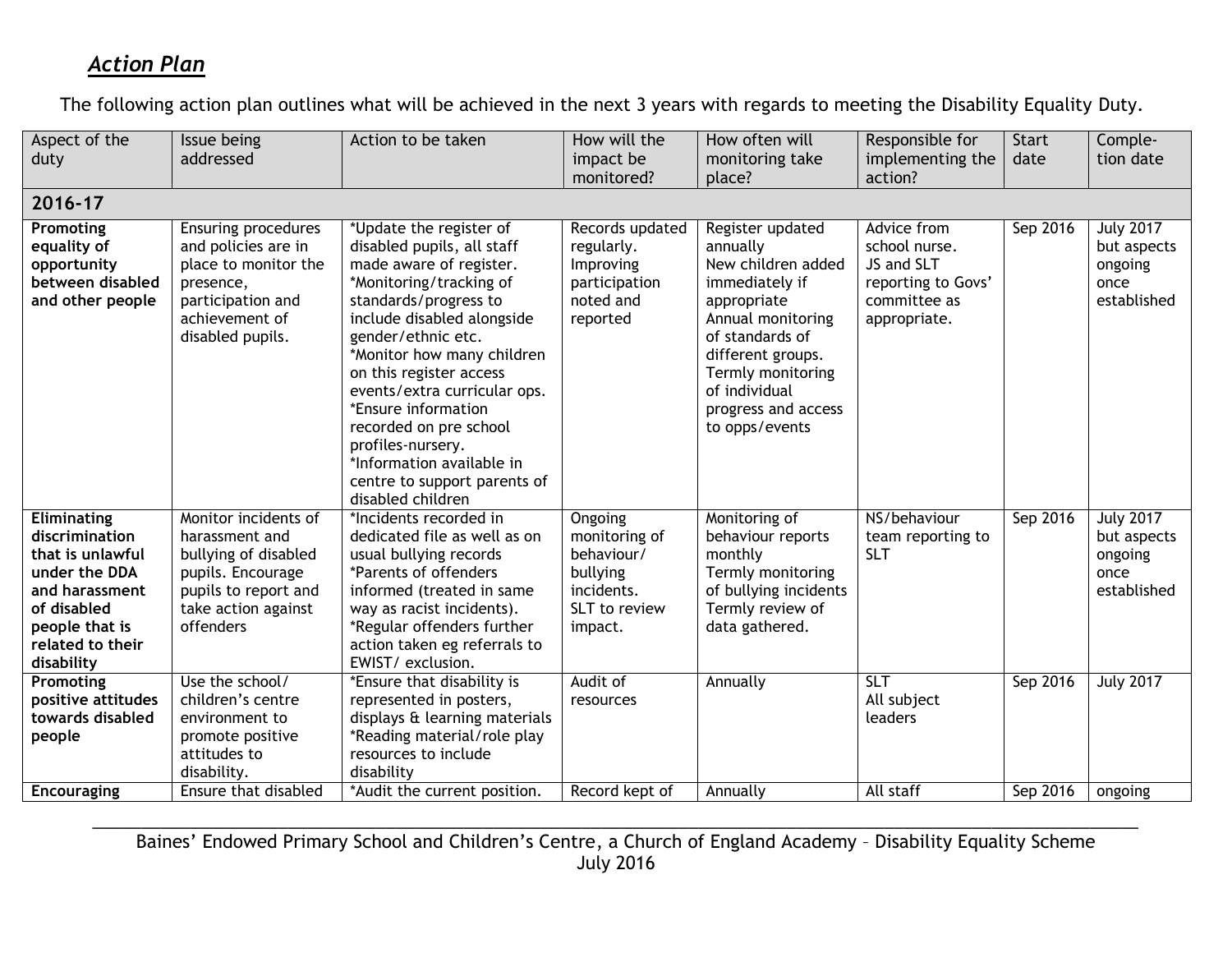## *Action Plan*

The following action plan outlines what will be achieved in the next 3 years with regards to meeting the Disability Equality Duty.

| Aspect of the                 | Issue being                                 | Action to be taken                                 | How will the           | How often will                            | Responsible for    | <b>Start</b> | Comple-             |
|-------------------------------|---------------------------------------------|----------------------------------------------------|------------------------|-------------------------------------------|--------------------|--------------|---------------------|
|                               | addressed                                   |                                                    | impact be              |                                           | implementing the   | date         | tion date           |
| duty                          |                                             |                                                    |                        | monitoring take                           |                    |              |                     |
|                               |                                             |                                                    | monitored?             | place?                                    | action?            |              |                     |
| 2016-17                       |                                             |                                                    |                        |                                           |                    |              |                     |
| Promoting                     | <b>Ensuring procedures</b>                  | *Update the register of                            | Records updated        | Register updated                          | Advice from        | Sep 2016     | <b>July 2017</b>    |
| equality of                   | and policies are in                         | disabled pupils, all staff                         | regularly.             | annually                                  | school nurse.      |              | but aspects         |
| opportunity                   | place to monitor the                        | made aware of register.                            | Improving              | New children added                        | JS and SLT         |              | ongoing             |
| between disabled              | presence,                                   | *Monitoring/tracking of                            | participation          | immediately if                            | reporting to Govs' |              | once                |
| and other people              | participation and                           | standards/progress to                              | noted and              | appropriate                               | committee as       |              | established         |
|                               | achievement of                              | include disabled alongside                         | reported               | Annual monitoring                         | appropriate.       |              |                     |
|                               | disabled pupils.                            | gender/ethnic etc.                                 |                        | of standards of                           |                    |              |                     |
|                               |                                             | *Monitor how many children                         |                        | different groups.                         |                    |              |                     |
|                               |                                             | on this register access                            |                        | Termly monitoring                         |                    |              |                     |
|                               |                                             | events/extra curricular ops.                       |                        | of individual                             |                    |              |                     |
|                               |                                             | *Ensure information                                |                        | progress and access                       |                    |              |                     |
|                               |                                             | recorded on pre school                             |                        | to opps/events                            |                    |              |                     |
|                               |                                             | profiles-nursery.                                  |                        |                                           |                    |              |                     |
|                               |                                             | *Information available in                          |                        |                                           |                    |              |                     |
|                               |                                             | centre to support parents of                       |                        |                                           |                    |              |                     |
|                               |                                             | disabled children                                  |                        |                                           |                    |              |                     |
| Eliminating                   | Monitor incidents of                        | *Incidents recorded in                             | Ongoing                | Monitoring of                             | NS/behaviour       | Sep 2016     | <b>July 2017</b>    |
| discrimination                | harassment and                              | dedicated file as well as on                       | monitoring of          | behaviour reports                         | team reporting to  |              | but aspects         |
| that is unlawful              | bullying of disabled                        | usual bullying records                             | behaviour/             | monthly                                   | <b>SLT</b>         |              | ongoing             |
| under the DDA                 | pupils. Encourage                           | *Parents of offenders<br>informed (treated in same | bullying<br>incidents. | Termly monitoring                         |                    |              | once<br>established |
| and harassment<br>of disabled | pupils to report and<br>take action against | way as racist incidents).                          | SLT to review          | of bullying incidents<br>Termly review of |                    |              |                     |
| people that is                | offenders                                   | *Regular offenders further                         | impact.                | data gathered.                            |                    |              |                     |
| related to their              |                                             | action taken eg referrals to                       |                        |                                           |                    |              |                     |
| disability                    |                                             | EWIST/exclusion.                                   |                        |                                           |                    |              |                     |
| Promoting                     | Use the school/                             | *Ensure that disability is                         | Audit of               | Annually                                  | <b>SLT</b>         | Sep 2016     | <b>July 2017</b>    |
| positive attitudes            | children's centre                           | represented in posters,                            | resources              |                                           | All subject        |              |                     |
| towards disabled              | environment to                              | displays & learning materials                      |                        |                                           | leaders            |              |                     |
| people                        | promote positive                            | *Reading material/role play                        |                        |                                           |                    |              |                     |
|                               | attitudes to                                | resources to include                               |                        |                                           |                    |              |                     |
|                               | disability.                                 | disability                                         |                        |                                           |                    |              |                     |
| <b>Encouraging</b>            | Ensure that disabled                        | *Audit the current position.                       | Record kept of         | Annually                                  | All staff          | Sep 2016     | ongoing             |

\_\_\_\_\_\_\_\_\_\_\_\_\_\_\_\_\_\_\_\_\_\_\_\_\_\_\_\_\_\_\_\_\_\_\_\_\_\_\_\_\_\_\_\_\_\_\_\_\_\_\_\_\_\_\_\_\_\_\_\_\_\_\_\_\_\_\_\_\_\_\_\_\_\_\_\_\_\_\_\_\_\_\_\_\_\_\_\_\_\_\_\_\_\_\_\_\_\_\_\_\_\_\_\_\_\_\_ Baines' Endowed Primary School and Children's Centre, a Church of England Academy – Disability Equality Scheme July 2016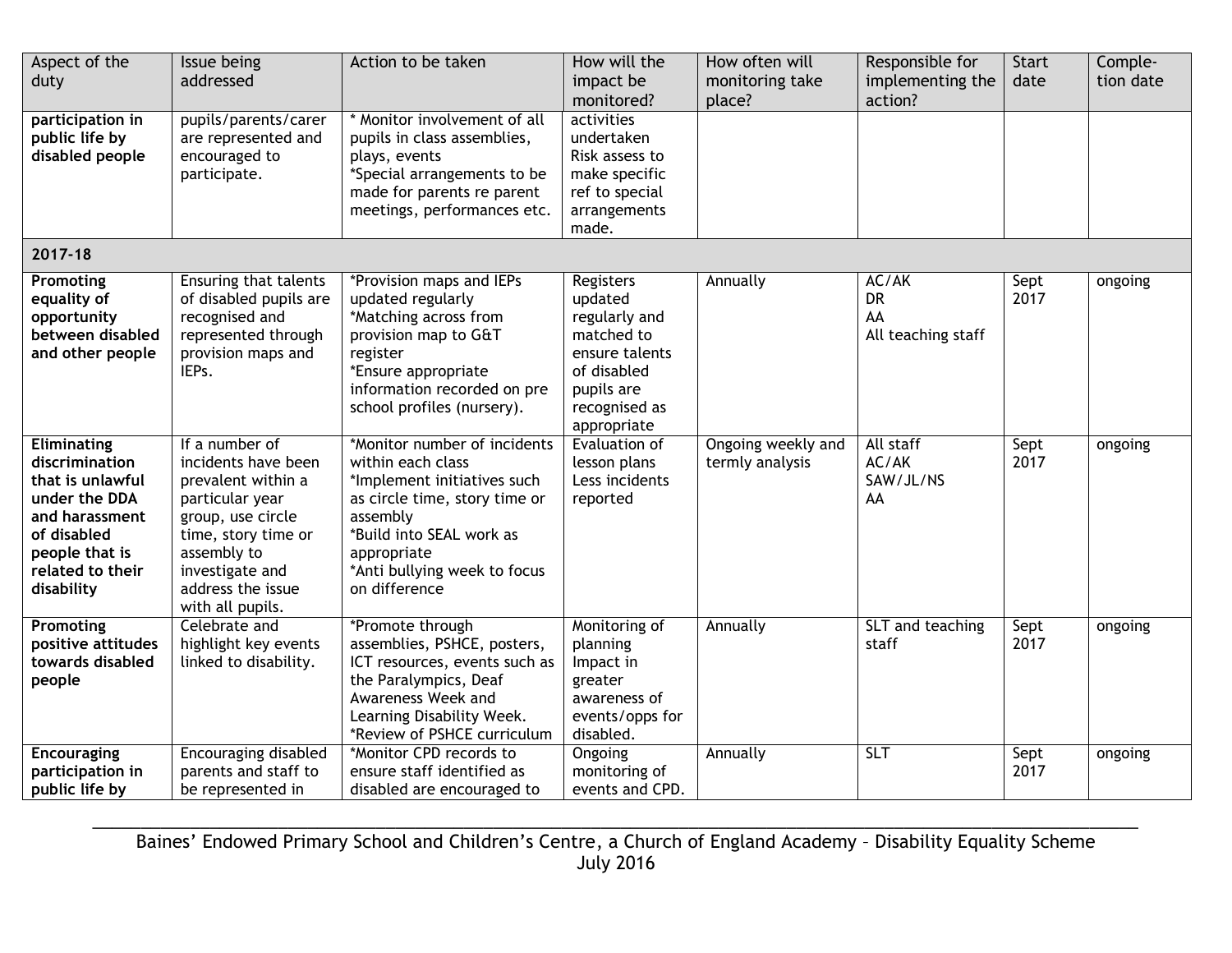| Aspect of the<br>duty                                                                                                                                   | Issue being<br>addressed                                                                                                                                                                              | Action to be taken                                                                                                                                                                                                        | How will the<br>impact be<br>monitored?                                                                                            | How often will<br>monitoring take<br>place? | Responsible for<br>implementing the<br>action? | <b>Start</b><br>date | Comple-<br>tion date |
|---------------------------------------------------------------------------------------------------------------------------------------------------------|-------------------------------------------------------------------------------------------------------------------------------------------------------------------------------------------------------|---------------------------------------------------------------------------------------------------------------------------------------------------------------------------------------------------------------------------|------------------------------------------------------------------------------------------------------------------------------------|---------------------------------------------|------------------------------------------------|----------------------|----------------------|
| participation in<br>public life by<br>disabled people                                                                                                   | pupils/parents/carer<br>are represented and<br>encouraged to<br>participate.                                                                                                                          | * Monitor involvement of all<br>pupils in class assemblies,<br>plays, events<br>*Special arrangements to be<br>made for parents re parent<br>meetings, performances etc.                                                  | activities<br>undertaken<br>Risk assess to<br>make specific<br>ref to special<br>arrangements<br>made.                             |                                             |                                                |                      |                      |
| 2017-18                                                                                                                                                 |                                                                                                                                                                                                       |                                                                                                                                                                                                                           |                                                                                                                                    |                                             |                                                |                      |                      |
| Promoting<br>equality of<br>opportunity<br>between disabled<br>and other people                                                                         | Ensuring that talents<br>of disabled pupils are<br>recognised and<br>represented through<br>provision maps and<br>IEPs.                                                                               | *Provision maps and IEPs<br>updated regularly<br>*Matching across from<br>provision map to G&T<br>register<br>*Ensure appropriate<br>information recorded on pre<br>school profiles (nursery).                            | Registers<br>updated<br>regularly and<br>matched to<br>ensure talents<br>of disabled<br>pupils are<br>recognised as<br>appropriate | Annually                                    | AC/AK<br><b>DR</b><br>AA<br>All teaching staff | Sept<br>2017         | ongoing              |
| Eliminating<br>discrimination<br>that is unlawful<br>under the DDA<br>and harassment<br>of disabled<br>people that is<br>related to their<br>disability | If a number of<br>incidents have been<br>prevalent within a<br>particular year<br>group, use circle<br>time, story time or<br>assembly to<br>investigate and<br>address the issue<br>with all pupils. | *Monitor number of incidents<br>within each class<br>*Implement initiatives such<br>as circle time, story time or<br>assembly<br>*Build into SEAL work as<br>appropriate<br>*Anti bullying week to focus<br>on difference | Evaluation of<br>lesson plans<br>Less incidents<br>reported                                                                        | Ongoing weekly and<br>termly analysis       | All staff<br>AC/AK<br>SAW/JL/NS<br>AA          | Sept<br>2017         | ongoing              |
| Promoting<br>positive attitudes<br>towards disabled<br>people                                                                                           | Celebrate and<br>highlight key events<br>linked to disability.                                                                                                                                        | *Promote through<br>assemblies, PSHCE, posters,<br>ICT resources, events such as<br>the Paralympics, Deaf<br>Awareness Week and<br>Learning Disability Week.<br>*Review of PSHCE curriculum                               | Monitoring of<br>planning<br>Impact in<br>greater<br>awareness of<br>events/opps for<br>disabled.                                  | Annually                                    | SLT and teaching<br>staff                      | Sept<br>2017         | ongoing              |
| <b>Encouraging</b><br>participation in<br>public life by                                                                                                | <b>Encouraging disabled</b><br>parents and staff to<br>be represented in                                                                                                                              | *Monitor CPD records to<br>ensure staff identified as<br>disabled are encouraged to                                                                                                                                       | Ongoing<br>monitoring of<br>events and CPD.                                                                                        | Annually                                    | SLT                                            | Sept<br>2017         | ongoing              |

\_\_\_\_\_\_\_\_\_\_\_\_\_\_\_\_\_\_\_\_\_\_\_\_\_\_\_\_\_\_\_\_\_\_\_\_\_\_\_\_\_\_\_\_\_\_\_\_\_\_\_\_\_\_\_\_\_\_\_\_\_\_\_\_\_\_\_\_\_\_\_\_\_\_\_\_\_\_\_\_\_\_\_\_\_\_\_\_\_\_\_\_\_\_\_\_\_\_\_\_\_\_\_\_\_\_\_ Baines' Endowed Primary School and Children's Centre, a Church of England Academy – Disability Equality Scheme July 2016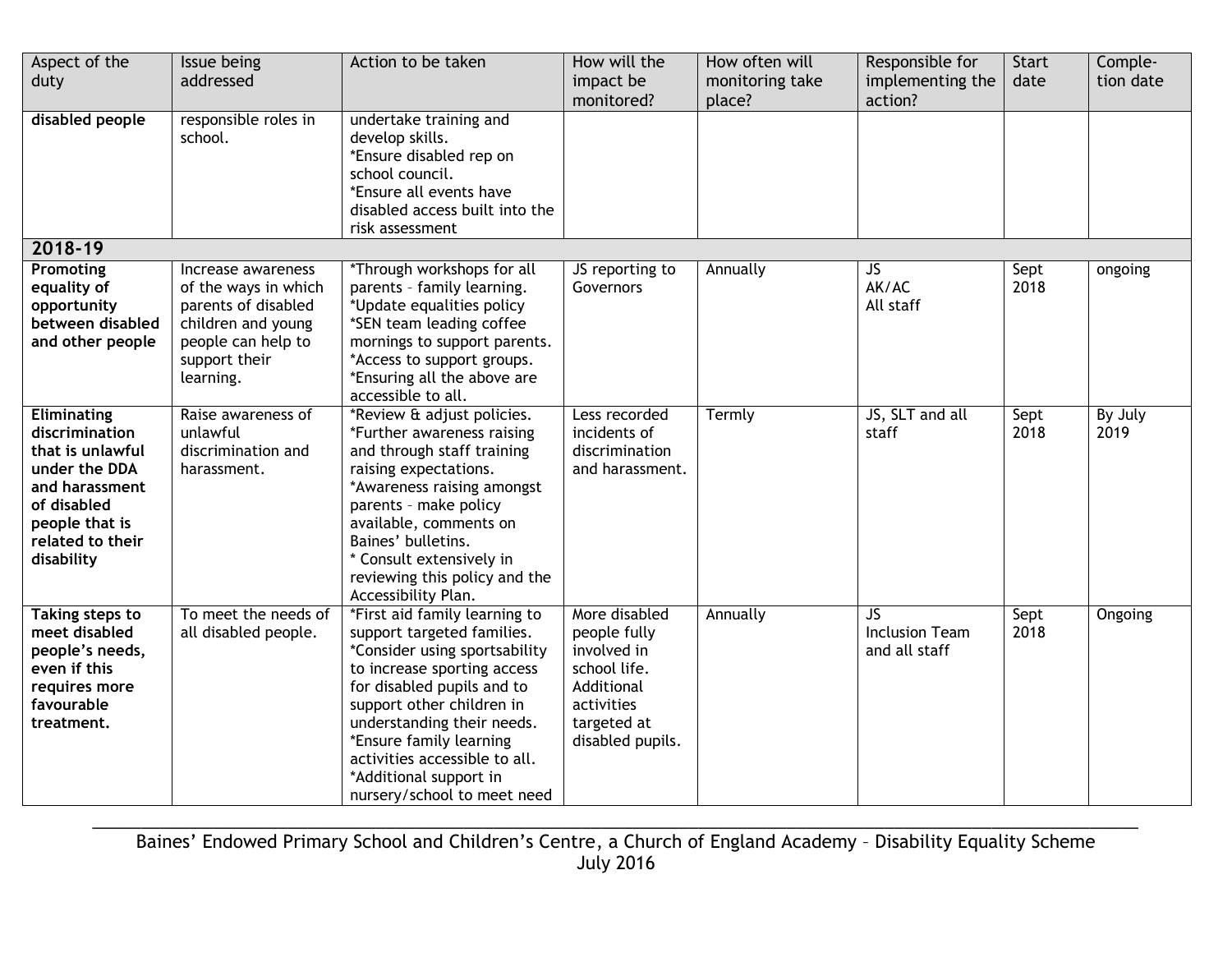| Aspect of the<br>duty                                                                                                                                   | Issue being<br>addressed                                                                                                                    | Action to be taken                                                                                                                                                                                                                                                                                                                        | How will the<br>impact be<br>monitored?                                                                                     | How often will<br>monitoring take<br>place? | Responsible for<br>implementing the<br>action? | <b>Start</b><br>date | Comple-<br>tion date |
|---------------------------------------------------------------------------------------------------------------------------------------------------------|---------------------------------------------------------------------------------------------------------------------------------------------|-------------------------------------------------------------------------------------------------------------------------------------------------------------------------------------------------------------------------------------------------------------------------------------------------------------------------------------------|-----------------------------------------------------------------------------------------------------------------------------|---------------------------------------------|------------------------------------------------|----------------------|----------------------|
| disabled people                                                                                                                                         | responsible roles in<br>school.                                                                                                             | undertake training and<br>develop skills.<br>*Ensure disabled rep on<br>school council.<br>*Ensure all events have<br>disabled access built into the<br>risk assessment                                                                                                                                                                   |                                                                                                                             |                                             |                                                |                      |                      |
| 2018-19                                                                                                                                                 |                                                                                                                                             |                                                                                                                                                                                                                                                                                                                                           |                                                                                                                             |                                             |                                                |                      |                      |
| Promoting<br>equality of<br>opportunity<br>between disabled<br>and other people                                                                         | Increase awareness<br>of the ways in which<br>parents of disabled<br>children and young<br>people can help to<br>support their<br>learning. | *Through workshops for all<br>parents - family learning.<br>*Update equalities policy<br>*SEN team leading coffee<br>mornings to support parents.<br>*Access to support groups.<br>*Ensuring all the above are<br>accessible to all.                                                                                                      | JS reporting to<br>Governors                                                                                                | Annually                                    | JS<br>AK/AC<br>All staff                       | Sept<br>2018         | ongoing              |
| Eliminating<br>discrimination<br>that is unlawful<br>under the DDA<br>and harassment<br>of disabled<br>people that is<br>related to their<br>disability | Raise awareness of<br>unlawful<br>discrimination and<br>harassment.                                                                         | *Review & adjust policies.<br>*Further awareness raising<br>and through staff training<br>raising expectations.<br>*Awareness raising amongst<br>parents - make policy<br>available, comments on<br>Baines' bulletins.<br>* Consult extensively in<br>reviewing this policy and the<br>Accessibility Plan.                                | Less recorded<br>incidents of<br>discrimination<br>and harassment.                                                          | Termly                                      | JS, SLT and all<br>staff                       | Sept<br>2018         | By July<br>2019      |
| <b>Taking steps to</b><br>meet disabled<br>people's needs,<br>even if this<br>requires more<br>favourable<br>treatment.                                 | To meet the needs of<br>all disabled people.                                                                                                | *First aid family learning to<br>support targeted families.<br>*Consider using sportsability<br>to increase sporting access<br>for disabled pupils and to<br>support other children in<br>understanding their needs.<br>*Ensure family learning<br>activities accessible to all.<br>*Additional support in<br>nursery/school to meet need | More disabled<br>people fully<br>involved in<br>school life.<br>Additional<br>activities<br>targeted at<br>disabled pupils. | Annually                                    | JS.<br><b>Inclusion Team</b><br>and all staff  | Sept<br>2018         | <b>Ongoing</b>       |

\_\_\_\_\_\_\_\_\_\_\_\_\_\_\_\_\_\_\_\_\_\_\_\_\_\_\_\_\_\_\_\_\_\_\_\_\_\_\_\_\_\_\_\_\_\_\_\_\_\_\_\_\_\_\_\_\_\_\_\_\_\_\_\_\_\_\_\_\_\_\_\_\_\_\_\_\_\_\_\_\_\_\_\_\_\_\_\_\_\_\_\_\_\_\_\_\_\_\_\_\_\_\_\_\_\_\_ Baines' Endowed Primary School and Children's Centre, a Church of England Academy – Disability Equality Scheme July 2016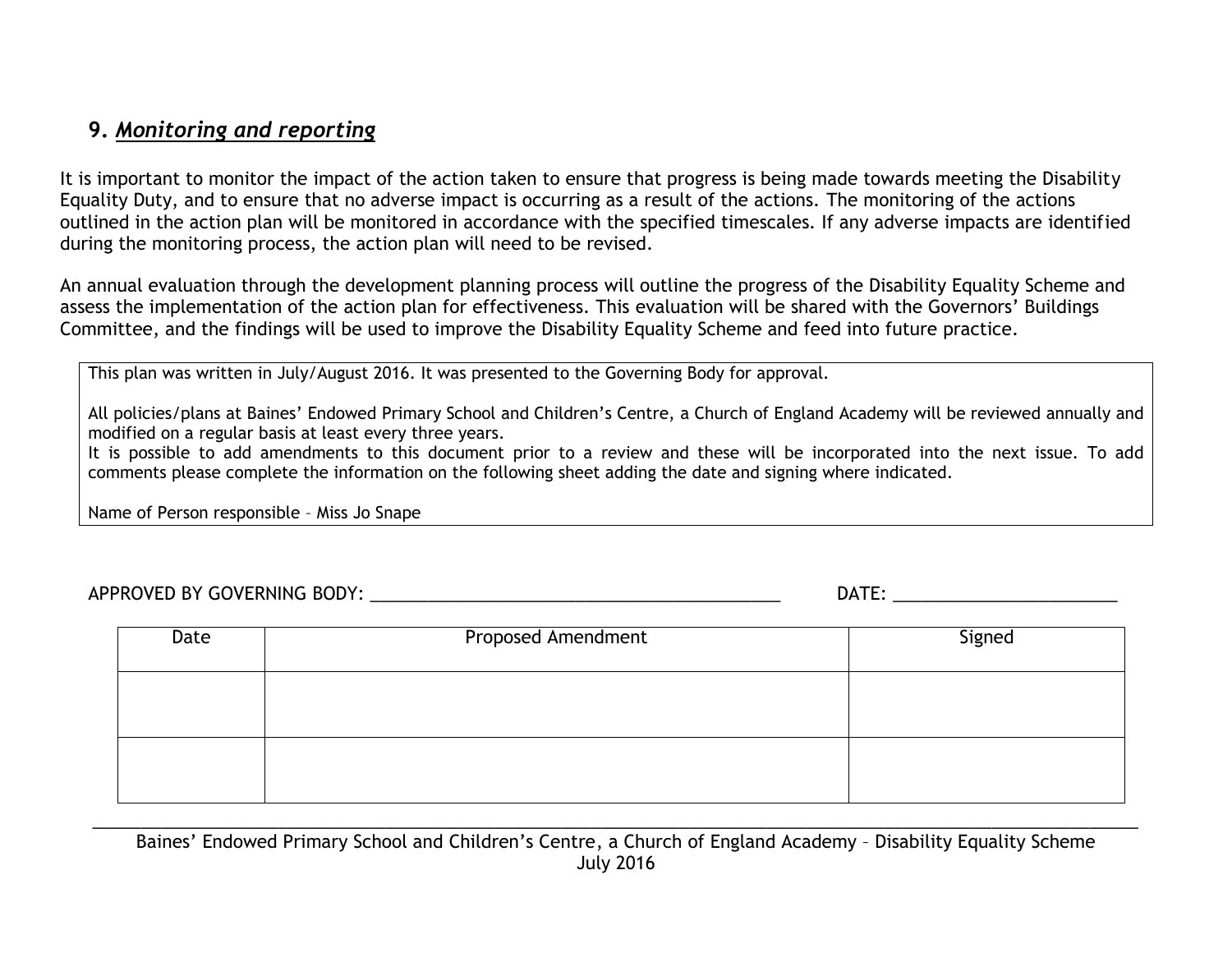### **9.** *Monitoring and reporting*

It is important to monitor the impact of the action taken to ensure that progress is being made towards meeting the Disability Equality Duty, and to ensure that no adverse impact is occurring as a result of the actions. The monitoring of the actions outlined in the action plan will be monitored in accordance with the specified timescales. If any adverse impacts are identified during the monitoring process, the action plan will need to be revised.

An annual evaluation through the development planning process will outline the progress of the Disability Equality Scheme and assess the implementation of the action plan for effectiveness. This evaluation will be shared with the Governors' Buildings Committee, and the findings will be used to improve the Disability Equality Scheme and feed into future practice.

This plan was written in July/August 2016. It was presented to the Governing Body for approval.

All policies/plans at Baines' Endowed Primary School and Children's Centre, a Church of England Academy will be reviewed annually and modified on a regular basis at least every three years.

It is possible to add amendments to this document prior to a review and these will be incorporated into the next issue. To add comments please complete the information on the following sheet adding the date and signing where indicated.

Name of Person responsible – Miss Jo Snape

APPROVED BY GOVERNING BODY: which are also assumed to the contract of the contract of the contract of the contract of the contract of the contract of the contract of the contract of the contract of the contract of the cont

| Date | <b>Proposed Amendment</b> | Signed |  |  |
|------|---------------------------|--------|--|--|
|      |                           |        |  |  |
|      |                           |        |  |  |
|      |                           |        |  |  |

\_\_\_\_\_\_\_\_\_\_\_\_\_\_\_\_\_\_\_\_\_\_\_\_\_\_\_\_\_\_\_\_\_\_\_\_\_\_\_\_\_\_\_\_\_\_\_\_\_\_\_\_\_\_\_\_\_\_\_\_\_\_\_\_\_\_\_\_\_\_\_\_\_\_\_\_\_\_\_\_\_\_\_\_\_\_\_\_\_\_\_\_\_\_\_\_\_\_\_\_\_\_\_\_\_\_\_